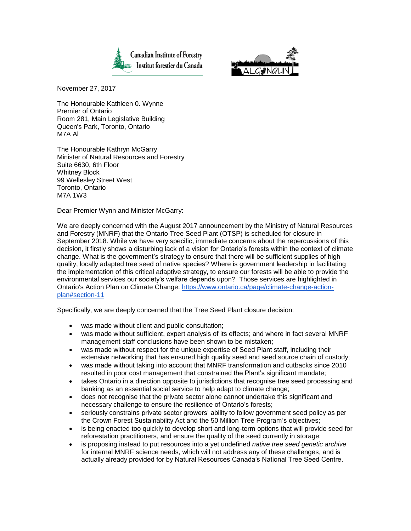



November 27, 2017

The Honourable Kathleen 0. Wynne Premier of Ontario Room 281, Main Legislative Building Queen's Park, Toronto, Ontario M7A Al

The Honourable Kathryn McGarry Minister of Natural Resources and Forestry Suite 6630, 6th Floor Whitney Block 99 Wellesley Street West Toronto, Ontario M7A 1W3

Dear Premier Wynn and Minister McGarry:

We are deeply concerned with the August 2017 announcement by the Ministry of Natural Resources and Forestry (MNRF) that the Ontario Tree Seed Plant (OTSP) is scheduled for closure in September 2018. While we have very specific, immediate concerns about the repercussions of this decision, it firstly shows a disturbing lack of a vision for Ontario's forests within the context of climate change. What is the government's strategy to ensure that there will be sufficient supplies of high quality, locally adapted tree seed of native species? Where is government leadership in facilitating the implementation of this critical adaptive strategy, to ensure our forests will be able to provide the environmental services our society's welfare depends upon? Those services are highlighted in Ontario's Action Plan on Climate Change: [https://www.ontario.ca/page/climate-change-action](https://www.ontario.ca/page/climate-change-action-plan#section-11)[plan#section-11](https://www.ontario.ca/page/climate-change-action-plan#section-11)

Specifically, we are deeply concerned that the Tree Seed Plant closure decision:

- was made without client and public consultation;
- was made without sufficient, expert analysis of its effects; and where in fact several MNRF management staff conclusions have been shown to be mistaken;
- was made without respect for the unique expertise of Seed Plant staff, including their extensive networking that has ensured high quality seed and seed source chain of custody;
- was made without taking into account that MNRF transformation and cutbacks since 2010 resulted in poor cost management that constrained the Plant's significant mandate;
- takes Ontario in a direction opposite to jurisdictions that recognise tree seed processing and banking as an essential social service to help adapt to climate change;
- does not recognise that the private sector alone cannot undertake this significant and necessary challenge to ensure the resilience of Ontario's forests;
- seriously constrains private sector growers' ability to follow government seed policy as per the Crown Forest Sustainability Act and the 50 Million Tree Program's objectives;
- is being enacted too quickly to develop short and long-term options that will provide seed for reforestation practitioners, and ensure the quality of the seed currently in storage;
- is proposing instead to put resources into a yet undefined *native tree seed genetic archive*  for internal MNRF science needs, which will not address any of these challenges, and is actually already provided for by Natural Resources Canada's National Tree Seed Centre.